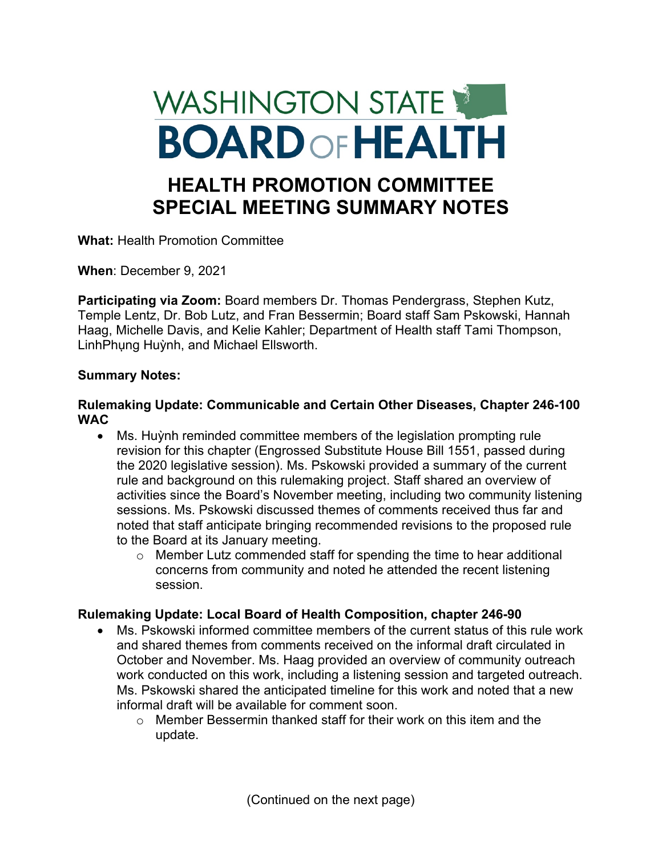# WASHINGTON STATE **BOARD OF HEALTH HEALTH PROMOTION COMMITTEE SPECIAL MEETING SUMMARY NOTES**

**What:** Health Promotion Committee

**When**: December 9, 2021

**Participating via Zoom:** Board members Dr. Thomas Pendergrass, Stephen Kutz, Temple Lentz, Dr. Bob Lutz, and Fran Bessermin; Board staff Sam Pskowski, Hannah Haag, Michelle Davis, and Kelie Kahler; Department of Health staff Tami Thompson, LinhPhung Huỳnh, and Michael Ellsworth.

## **Summary Notes:**

## **Rulemaking Update: Communicable and Certain Other Diseases, Chapter 246-100 WAC**

- Ms. Huỳnh reminded committee members of the legislation prompting rule revision for this chapter (Engrossed Substitute House Bill 1551, passed during the 2020 legislative session). Ms. Pskowski provided a summary of the current rule and background on this rulemaking project. Staff shared an overview of activities since the Board's November meeting, including two community listening sessions. Ms. Pskowski discussed themes of comments received thus far and noted that staff anticipate bringing recommended revisions to the proposed rule to the Board at its January meeting.
	- o Member Lutz commended staff for spending the time to hear additional concerns from community and noted he attended the recent listening session.

# **Rulemaking Update: Local Board of Health Composition, chapter 246-90**

- Ms. Pskowski informed committee members of the current status of this rule work and shared themes from comments received on the informal draft circulated in October and November. Ms. Haag provided an overview of community outreach work conducted on this work, including a listening session and targeted outreach. Ms. Pskowski shared the anticipated timeline for this work and noted that a new informal draft will be available for comment soon.
	- $\circ$  Member Bessermin thanked staff for their work on this item and the update.